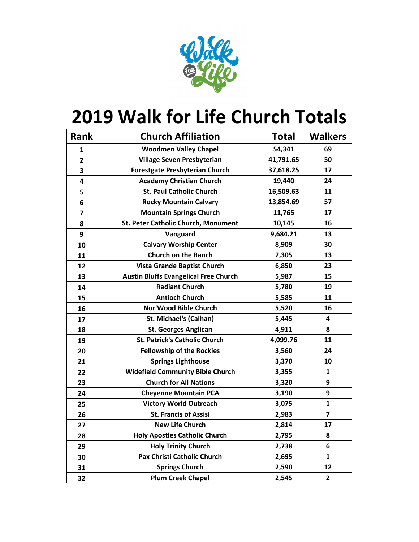

## **2019 Walk for Life Church Totals**

| <b>Rank</b>             | <b>Church Affiliation</b>                    | <b>Total</b> | <b>Walkers</b>          |
|-------------------------|----------------------------------------------|--------------|-------------------------|
| 1                       | <b>Woodmen Valley Chapel</b>                 | 54,341       | 69                      |
| $\overline{2}$          | Village Seven Presbyterian                   | 41,791.65    | 50                      |
| 3                       | <b>Forestgate Presbyterian Church</b>        | 37,618.25    | 17                      |
| 4                       | <b>Academy Christian Church</b>              | 19,440       | 24                      |
| 5                       | <b>St. Paul Catholic Church</b>              | 16,509.63    | 11                      |
| 6                       | <b>Rocky Mountain Calvary</b>                | 13,854.69    | 57                      |
| $\overline{\mathbf{z}}$ | <b>Mountain Springs Church</b>               | 11,765       | 17                      |
| 8                       | St. Peter Catholic Church, Monument          | 10,145       | 16                      |
| 9                       | Vanguard                                     | 9,684.21     | 13                      |
| 10                      | <b>Calvary Worship Center</b>                | 8,909        | 30                      |
| 11                      | <b>Church on the Ranch</b>                   | 7,305        | 13                      |
| 12                      | Vista Grande Baptist Church                  | 6,850        | 23                      |
| 13                      | <b>Austin Bluffs Evangelical Free Church</b> | 5,987        | 15                      |
| 14                      | <b>Radiant Church</b>                        | 5,780        | 19                      |
| 15                      | <b>Antioch Church</b>                        | 5,585        | 11                      |
| 16                      | Nor'Wood Bible Church                        | 5,520        | 16                      |
| 17                      | <b>St. Michael's (Calhan)</b>                | 5,445        | 4                       |
| 18                      | <b>St. Georges Anglican</b>                  | 4,911        | 8                       |
| 19                      | <b>St. Patrick's Catholic Church</b>         | 4,099.76     | 11                      |
| 20                      | <b>Fellowship of the Rockies</b>             | 3,560        | 24                      |
| 21                      | <b>Springs Lighthouse</b>                    | 3,370        | 10                      |
| 22                      | <b>Widefield Community Bible Church</b>      | 3,355        | 1                       |
| 23                      | <b>Church for All Nations</b>                | 3,320        | 9                       |
| 24                      | <b>Cheyenne Mountain PCA</b>                 | 3,190        | 9                       |
| 25                      | <b>Victory World Outreach</b>                | 3,075        | $\mathbf{1}$            |
| 26                      | <b>St. Francis of Assisi</b>                 | 2,983        | $\overline{\mathbf{z}}$ |
| 27                      | <b>New Life Church</b>                       | 2,814        | 17                      |
| 28                      | <b>Holy Apostles Catholic Church</b>         | 2,795        | 8                       |
| 29                      | <b>Holy Trinity Church</b>                   | 2,738        | 6                       |
| 30                      | Pax Christi Catholic Church                  | 2,695        | 1                       |
| 31                      | <b>Springs Church</b>                        | 2,590        | 12                      |
| 32                      | <b>Plum Creek Chapel</b>                     | 2,545        | $\overline{2}$          |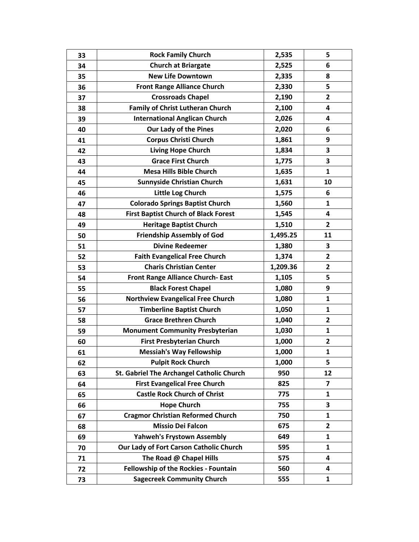| 33 | <b>Rock Family Church</b>                   | 2,535    | 5                       |
|----|---------------------------------------------|----------|-------------------------|
| 34 | <b>Church at Briargate</b>                  | 2,525    | 6                       |
| 35 | <b>New Life Downtown</b>                    | 2,335    | 8                       |
| 36 | <b>Front Range Alliance Church</b>          | 2,330    | 5                       |
| 37 | <b>Crossroads Chapel</b>                    | 2,190    | $\overline{2}$          |
| 38 | <b>Family of Christ Lutheran Church</b>     | 2,100    | 4                       |
| 39 | <b>International Anglican Church</b>        | 2,026    | 4                       |
| 40 | Our Lady of the Pines                       | 2,020    | 6                       |
| 41 | <b>Corpus Christi Church</b>                | 1,861    | 9                       |
| 42 | <b>Living Hope Church</b>                   | 1,834    | 3                       |
| 43 | <b>Grace First Church</b>                   | 1,775    | 3                       |
| 44 | <b>Mesa Hills Bible Church</b>              | 1,635    | 1                       |
| 45 | <b>Sunnyside Christian Church</b>           | 1,631    | 10                      |
| 46 | Little Log Church                           | 1,575    | 6                       |
| 47 | <b>Colorado Springs Baptist Church</b>      | 1,560    | 1                       |
| 48 | <b>First Baptist Church of Black Forest</b> | 1,545    | 4                       |
| 49 | <b>Heritage Baptist Church</b>              | 1,510    | $\overline{2}$          |
| 50 | <b>Friendship Assembly of God</b>           | 1,495.25 | 11                      |
| 51 | <b>Divine Redeemer</b>                      | 1,380    | 3                       |
| 52 | <b>Faith Evangelical Free Church</b>        | 1,374    | $\overline{2}$          |
| 53 | <b>Charis Christian Center</b>              | 1,209.36 | $\overline{\mathbf{c}}$ |
| 54 | <b>Front Range Alliance Church-East</b>     | 1,105    | 5                       |
| 55 | <b>Black Forest Chapel</b>                  | 1,080    | 9                       |
| 56 | <b>Northview Evangelical Free Church</b>    | 1,080    | 1                       |
| 57 | <b>Timberline Baptist Church</b>            | 1,050    | 1                       |
| 58 | <b>Grace Brethren Church</b>                | 1,040    | $\overline{2}$          |
| 59 | <b>Monument Community Presbyterian</b>      | 1,030    | 1                       |
| 60 | <b>First Presbyterian Church</b>            | 1,000    | 2                       |
| 61 | <b>Messiah's Way Fellowship</b>             | 1,000    | $\mathbf{1}$            |
| 62 | <b>Pulpit Rock Church</b>                   | 1,000    | 5                       |
| 63 | St. Gabriel The Archangel Catholic Church   | 950      | 12                      |
| 64 | <b>First Evangelical Free Church</b>        | 825      | 7                       |
| 65 | <b>Castle Rock Church of Christ</b>         | 775      | 1                       |
| 66 | <b>Hope Church</b>                          | 755      | 3                       |
| 67 | <b>Cragmor Christian Reformed Church</b>    | 750      | 1                       |
| 68 | <b>Missio Dei Falcon</b>                    | 675      | 2                       |
| 69 | <b>Yahweh's Frystown Assembly</b>           | 649      | 1                       |
| 70 | Our Lady of Fort Carson Catholic Church     | 595      | 1                       |
| 71 | The Road @ Chapel Hills                     | 575      | 4                       |
| 72 | <b>Fellowship of the Rockies - Fountain</b> | 560      | 4                       |
| 73 | <b>Sagecreek Community Church</b>           | 555      | 1                       |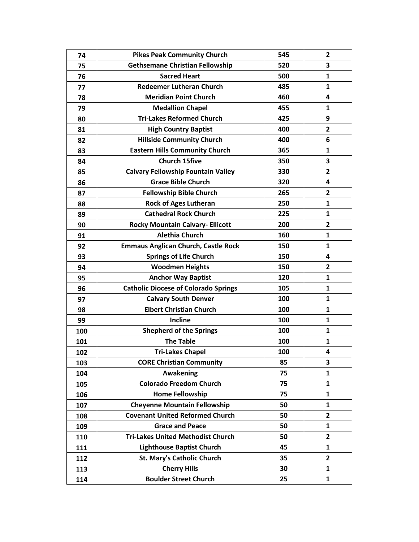| 74  | <b>Pikes Peak Community Church</b>          | 545 | 2            |
|-----|---------------------------------------------|-----|--------------|
| 75  | <b>Gethsemane Christian Fellowship</b>      | 520 | 3            |
| 76  | <b>Sacred Heart</b>                         | 500 | $\mathbf{1}$ |
| 77  | <b>Redeemer Lutheran Church</b>             | 485 | 1            |
| 78  | <b>Meridian Point Church</b>                | 460 | 4            |
| 79  | <b>Medallion Chapel</b>                     | 455 | 1            |
| 80  | <b>Tri-Lakes Reformed Church</b>            | 425 | 9            |
| 81  | <b>High Country Baptist</b>                 | 400 | $\mathbf{2}$ |
| 82  | <b>Hillside Community Church</b>            | 400 | 6            |
| 83  | <b>Eastern Hills Community Church</b>       | 365 | 1            |
| 84  | <b>Church 15five</b>                        | 350 | 3            |
| 85  | <b>Calvary Fellowship Fountain Valley</b>   | 330 | $\mathbf{2}$ |
| 86  | <b>Grace Bible Church</b>                   | 320 | 4            |
| 87  | <b>Fellowship Bible Church</b>              | 265 | 2            |
| 88  | <b>Rock of Ages Lutheran</b>                | 250 | 1            |
| 89  | <b>Cathedral Rock Church</b>                | 225 | 1            |
| 90  | <b>Rocky Mountain Calvary- Ellicott</b>     | 200 | 2            |
| 91  | <b>Alethia Church</b>                       | 160 | 1            |
| 92  | <b>Emmaus Anglican Church, Castle Rock</b>  | 150 | 1            |
| 93  | <b>Springs of Life Church</b>               | 150 | 4            |
| 94  | <b>Woodmen Heights</b>                      | 150 | 2            |
| 95  | <b>Anchor Way Baptist</b>                   | 120 | 1            |
| 96  | <b>Catholic Diocese of Colorado Springs</b> | 105 | 1            |
| 97  | <b>Calvary South Denver</b>                 | 100 | 1            |
| 98  | <b>Elbert Christian Church</b>              | 100 | 1            |
| 99  | <b>Incline</b>                              | 100 | $\mathbf{1}$ |
| 100 | <b>Shepherd of the Springs</b>              | 100 | 1            |
| 101 | <b>The Table</b>                            | 100 | 1            |
| 102 | <b>Tri-Lakes Chapel</b>                     | 100 | 4            |
| 103 | <b>CORE Christian Community</b>             | 85  | 3            |
| 104 | Awakening                                   | 75  | 1            |
| 105 | <b>Colorado Freedom Church</b>              | 75  | $\mathbf{1}$ |
| 106 | <b>Home Fellowship</b>                      | 75  | $\mathbf{1}$ |
| 107 | <b>Cheyenne Mountain Fellowship</b>         | 50  | 1            |
| 108 | <b>Covenant United Reformed Church</b>      | 50  | 2            |
| 109 | <b>Grace and Peace</b>                      | 50  | 1            |
| 110 | <b>Tri-Lakes United Methodist Church</b>    | 50  | $\mathbf{2}$ |
| 111 | <b>Lighthouse Baptist Church</b>            | 45  | $\mathbf{1}$ |
| 112 | <b>St. Mary's Catholic Church</b>           | 35  | 2            |
| 113 | <b>Cherry Hills</b>                         | 30  | 1            |
| 114 | <b>Boulder Street Church</b>                | 25  | 1            |